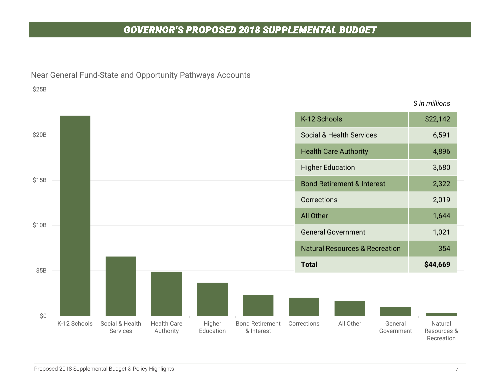## *GOVERNOR'S PROPOSED 2018 SUPPLEMENTAL BUDGET*



#### Near General Fund-State and Opportunity Pathways Accounts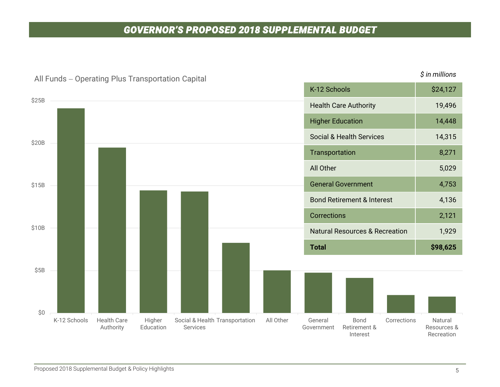## *GOVERNOR'S PROPOSED 2018 SUPPLEMENTAL BUDGET*